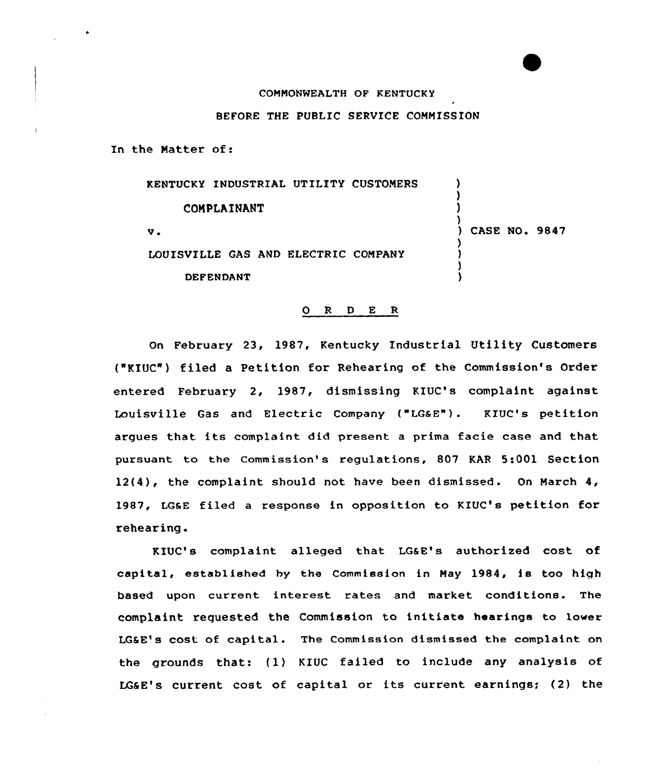## CONNONWEALTH OF KENTUCKY

## BEFORE THE PUBLIC SERVICE COMMISSION

In the Natter of:

KENTUCKY INDUSTRIAL UTILITY CUSTONERS **COMPLAINANT** v <sup>~</sup> LOUISVILLE GAS AND ELECTRIC CONPANY DEFENDANT ) 3 ) ) CASE NO. 9847 ) ) ) )

## 0 <sup>R</sup> <sup>D</sup> E R

On February 23, 1987, Kentucky Industrial Utility Customers {"KIUC") filed a Petition for Rehearing of the Commission's Order entered February 2, 1987, dismissing KIUC's complaint against Louisville Gas and Electric Company ("LGaE"). KIUC's petition argues that its complaint did present <sup>a</sup> prima facie case and that pursuant to the Commission's regulations, 807 KAR 5:001 Section 12{4), the complaint should not have been dismissed. On Narch 4, 1987, LGaE filed a response in opposition to KXUC's petition for rehearing.

KIUC's complaint alleged that LGaE's authorized cost of capital, established by the Commission in Nay 1984, is too high based upon current interest rates and market conditions. The complaint requested the Commission to initiate hearings to lower LGSE's cost of capital. The Commission dismissed the complaint on the grounds that: {1) KXUC failed to include any analysis of LGSE's current cost of capital or its current earnings; (2) the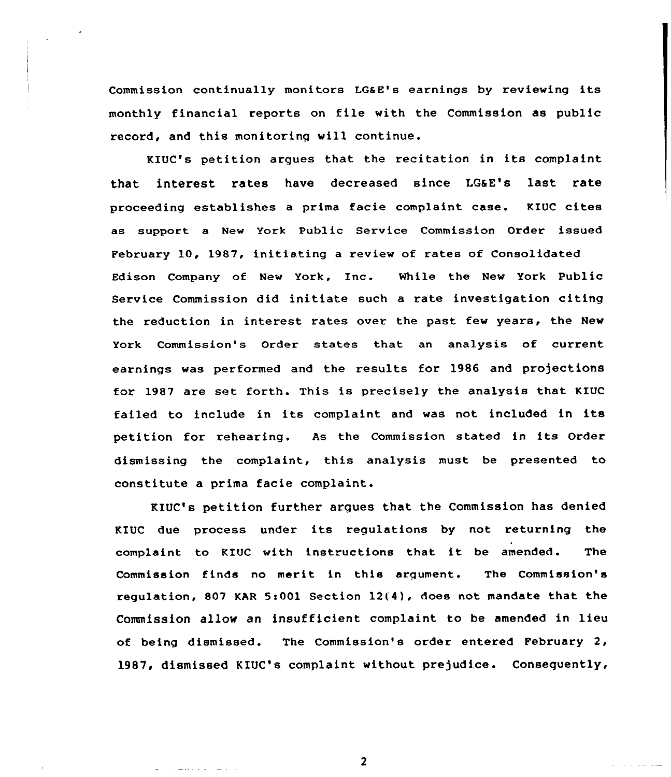Commission continually monitors LGaE's earnings by reviewing its monthly financial reports on file with the Commission as public record, and this monitoring will continue.

KIUC's petition argues that the recitation in its complaint that interest rates have decreased since LQaE's last rate proceeding establishes a prima facie complaint case. KIUC cites as support a New York Public Service Commission Order issued February 10, 1987, initiating a review of rates of Consolidated Edison Company of New York, Inc. While the New York Public Service Commission did initiate such a rate investigation citing the reduction in interest rates over the past few years, the New York Commission's Order states that an analysis of current earnings was performed and the results for 1986 and projections for 1987 are set forth. This is precisely the analysis that KIUC failed to include in its complaint and was not included in its petition for rehearing. As the Commission stated in its Order dismissing the complaint, this analysis must be presented to constitute a prima facie complaint.

KIUC's petition further argues that the Commission has denied KIUC due process under its regulations by not returning the complaint to KIUC with instructions that it be amended. The Commission finds no merit in this argument. The Commission's regulation, 807 KAR 5s001 Section 12(4), does not mandate that the Commission allow an insufficient complaint to be amended in lieu of being dismissed. The Commission's order entered February 2, 1987, dismissed KIUC's complaint without prejudice. Consequently,

 $\mathbf{2}$